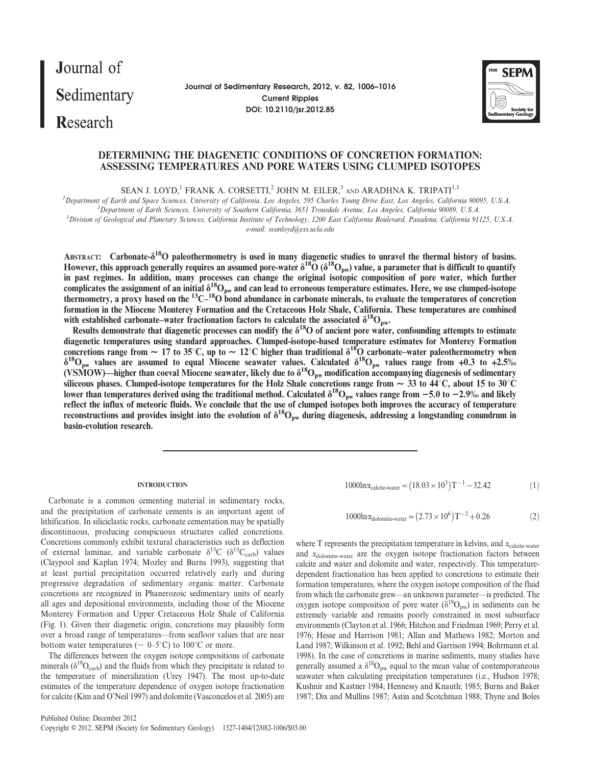Journal of Sedimentary Research

Journal of Sedimentary Research, 2012, v. 82, 1006–1016 Current Ripples DOI: 10.2110/jsr.2012.85



# DETERMINING THE DIAGENETIC CONDITIONS OF CONCRETION FORMATION: ASSESSING TEMPERATURES AND PORE WATERS USING CLUMPED ISOTOPES

SEAN J. LOYD,<sup>1</sup> FRANK A. CORSETTI,<sup>2</sup> JOHN M. EILER,<sup>3</sup> AND ARADHNA K. TRIPATI<sup>1,3</sup>

<sup>1</sup> Department of Earth and Space Sciences, University of California, Los Angeles, 595 Charles Young Drive East, Los Angeles, California 90095, U.S.A.

2 Department of Earth Sciences, University of Southern California, 3651 Trousdale Avenue, Los Angeles, California 90089, U.S.A.

3 Division of Geological and Planetary Sciences, California Institute of Technology, 1200 East California Boulevard, Pasadena, California 91125, U.S.A. e-mail: seanloyd@ess.ucla.edu

ABSTRACT: Carbonate- $\delta^{18}O$  paleothermometry is used in many diagenetic studies to unravel the thermal history of basins. However, this approach generally requires an assumed pore-water  $\delta^{18}O(\delta^{18}O_{nw})$  value, a parameter that is difficult to quantify in past regimes. In addition, many processes can change the original isotopic composition of pore water, which further complicates the assignment of an initial  $\delta^{18}O_{\text{pw}}$  and can lead to erroneous temperature estimates. Here, we use clumped-isotope thermometry, a proxy based on the 13C–18O bond abundance in carbonate minerals, to evaluate the temperatures of concretion formation in the Miocene Monterey Formation and the Cretaceous Holz Shale, California. These temperatures are combined with established carbonate–water fractionation factors to calculate the associated  $\delta^{18}O_{\text{nw}}$ .

Results demonstrate that diagenetic processes can modify the  $\delta^{18}O$  of ancient pore water, confounding attempts to estimate diagenetic temperatures using standard approaches. Clumped-isotope-based temperature estimates for Monterey Formation concretions range from  $\sim 17$  to 35°C, up to  $\sim 12$ °C higher than traditional  $\delta^{18}O$  carbonate–water paleothermometry when  $\delta^{18}O_{\rm pw}$  values are assumed to equal Miocene seawater values. Calculated  $\delta^{18}O_{\rm pw}$  values range from +0.3 to +2.5% (VSMOW)—higher than coeval Miocene seawater, likely due to  $\delta^{18}O_{\rm pw}$  modification accompanying diagenesis of sedimentary siliceous phases. Clumped-isotope temperatures for the Holz Shale concretions range from  $\sim$  33 to 44<sup>o</sup>C, about 15 to 30<sup>o</sup>C lower than temperatures derived using the traditional method. Calculated  $\delta^{18}O_{\text{pw}}$  values range from -5.0 to -2.9% and likely reflect the influx of meteoric fluids. We conclude that the use of clumped isotopes both improves the accuracy of temperature reconstructions and provides insight into the evolution of  $\delta^{18}O_{\rm pw}$  during diagenesis, addressing a longstanding conundrum in basin-evolution research.

## INTRODUCTION

Carbonate is a common cementing material in sedimentary rocks, and the precipitation of carbonate cements is an important agent of lithification. In siliciclastic rocks, carbonate cementation may be spatially discontinuous, producing conspicuous structures called concretions. Concretions commonly exhibit textural characteristics such as deflection of external laminae, and variable carbonate  $\delta^{13}C$  ( $\delta^{13}C_{\text{carb}}$ ) values (Claypool and Kaplan 1974; Mozley and Burns 1993), suggesting that at least partial precipitation occurred relatively early and during progressive degradation of sedimentary organic matter. Carbonate concretions are recognized in Phanerozoic sedimentary units of nearly all ages and depositional environments, including those of the Miocene Monterey Formation and Upper Cretaceous Holz Shale of California (Fig. 1). Given their diagenetic origin, concretions may plausibly form over a broad range of temperatures—from seafloor values that are near bottom water temperatures ( $\sim 0-5^{\circ}$ C) to 100<sup>o</sup>C or more.

The differences between the oxygen isotope compositions of carbonate minerals ( $\delta^{18}O_{\rm carb}$ ) and the fluids from which they precipitate is related to the temperature of mineralization (Urey 1947). The most up-to-date estimates of the temperature dependence of oxygen isotope fractionation for calcite (Kim and O'Neil 1997) and dolomite (Vasconcelos et al. 2005) are

$$
1000\ln\alpha_{\text{caletic-water}} = (18.03 \times 10^3)\,\text{T}^{-1} - 32.42\tag{1}
$$

$$
1000\ln\alpha_{\text{dolomite-water}} = (2.73 \times 10^6)\,\text{T}^{-2} + 0.26\tag{2}
$$

where  $T$  represents the precipitation temperature in kelvins, and  $\alpha_{\text{calcite-water}}$ and  $\alpha_{\text{dolomite-water}}$  are the oxygen isotope fractionation factors between calcite and water and dolomite and water, respectively. This temperaturedependent fractionation has been applied to concretions to estimate their formation temperatures, where the oxygen isotope composition of the fluid from which the carbonate grew—an unknown parameter—is predicted. The oxygen isotope composition of pore water  $(\delta^{18}O_{pw})$  in sediments can be extremely variable and remains poorly constrained in most subsurface environments (Clayton et al. 1966; Hitchon and Friedman 1969; Perry et al. 1976; Hesse and Harrison 1981; Allan and Mathews 1982; Morton and Land 1987; Wilkinson et al. 1992; Behl and Garrison 1994; Bohrmann et al. 1998). In the case of concretions in marine sediments, many studies have generally assumed a  $\delta^{18}O_{\text{nw}}$  equal to the mean value of contemporaneous seawater when calculating precipitation temperatures (i.e., Hudson 1978; Kushnir and Kastner 1984; Hennessy and Knauth; 1985; Burns and Baker 1987; Dix and Mullins 1987; Astin and Scotchman 1988; Thyne and Boles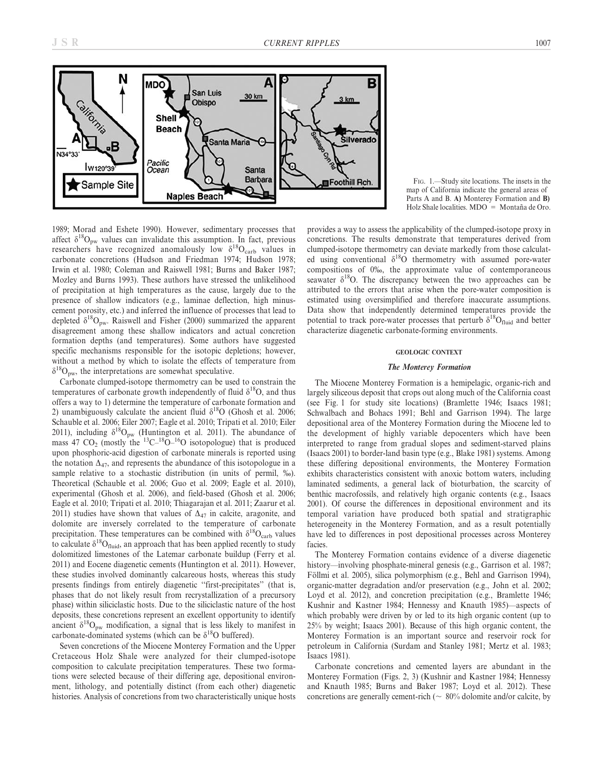

FIG. 1.—Study site locations. The insets in the map of California indicate the general areas of Parts A and B. A) Monterey Formation and B) Holz Shale localities.  $MDO = Montaña de Oro$ .

1989; Morad and Eshete 1990). However, sedimentary processes that affect  $\delta^{18}O_{\text{pw}}$  values can invalidate this assumption. In fact, previous researchers have recognized anomalously low  $\delta^{18}O_{\text{carb}}$  values in carbonate concretions (Hudson and Friedman 1974; Hudson 1978; Irwin et al. 1980; Coleman and Raiswell 1981; Burns and Baker 1987; Mozley and Burns 1993). These authors have stressed the unlikelihood of precipitation at high temperatures as the cause, largely due to the presence of shallow indicators (e.g., laminae deflection, high minuscement porosity, etc.) and inferred the influence of processes that lead to depleted  $\delta^{18}O_{\text{pw}}$ . Raiswell and Fisher (2000) summarized the apparent disagreement among these shallow indicators and actual concretion formation depths (and temperatures). Some authors have suggested specific mechanisms responsible for the isotopic depletions; however, without a method by which to isolate the effects of temperature from  $\delta^{18}O_{\text{pw}}$ , the interpretations are somewhat speculative.

Carbonate clumped-isotope thermometry can be used to constrain the temperatures of carbonate growth independently of fluid  $\delta^{18}O$ , and thus offers a way to 1) determine the temperature of carbonate formation and 2) unambiguously calculate the ancient fluid  $\delta^{18}O$  (Ghosh et al. 2006; Schauble et al. 2006; Eiler 2007; Eagle et al. 2010; Tripati et al. 2010; Eiler 2011), including  $\delta^{18}O_{\text{pw}}$  (Huntington et al. 2011). The abundance of mass 47  $CO<sub>2</sub>$  (mostly the <sup>13</sup>C<sup>-18</sup>O<sup>-16</sup>O isotopologue) that is produced upon phosphoric-acid digestion of carbonate minerals is reported using the notation  $\Delta_{47}$ , and represents the abundance of this isotopologue in a sample relative to a stochastic distribution (in units of permil, ‰). Theoretical (Schauble et al. 2006; Guo et al. 2009; Eagle et al. 2010), experimental (Ghosh et al. 2006), and field-based (Ghosh et al. 2006; Eagle et al. 2010; Tripati et al. 2010; Thiagarajan et al. 2011; Zaarur et al. 2011) studies have shown that values of  $\Delta_{47}$  in calcite, aragonite, and dolomite are inversely correlated to the temperature of carbonate precipitation. These temperatures can be combined with  $\delta^{18}O_{\rm carb}$  values to calculate  $\delta^{18}O_{\text{fluid}}$ , an approach that has been applied recently to study dolomitized limestones of the Latemar carbonate buildup (Ferry et al. 2011) and Eocene diagenetic cements (Huntington et al. 2011). However, these studies involved dominantly calcareous hosts, whereas this study presents findings from entirely diagenetic ''first-precipitates'' (that is, phases that do not likely result from recrystallization of a precursory phase) within siliciclastic hosts. Due to the siliciclastic nature of the host deposits, these concretions represent an excellent opportunity to identify ancient  $\delta^{18}O_{pw}$  modification, a signal that is less likely to manifest in carbonate-dominated systems (which can be  $\delta^{18}O$  buffered).

Seven concretions of the Miocene Monterey Formation and the Upper Cretaceous Holz Shale were analyzed for their clumped-isotope composition to calculate precipitation temperatures. These two formations were selected because of their differing age, depositional environment, lithology, and potentially distinct (from each other) diagenetic histories. Analysis of concretions from two characteristically unique hosts

provides a way to assess the applicability of the clumped-isotope proxy in concretions. The results demonstrate that temperatures derived from clumped-isotope thermometry can deviate markedly from those calculated using conventional  $\delta^{18}O$  thermometry with assumed pore-water compositions of 0%, the approximate value of contemporaneous seawater  $\delta^{18}$ O. The discrepancy between the two approaches can be attributed to the errors that arise when the pore-water composition is estimated using oversimplified and therefore inaccurate assumptions. Data show that independently determined temperatures provide the potential to track pore-water processes that perturb  $\delta^{18}O_{\text{fluid}}$  and better characterize diagenetic carbonate-forming environments.

## GEOLOGIC CONTEXT

## The Monterey Formation

The Miocene Monterey Formation is a hemipelagic, organic-rich and largely siliceous deposit that crops out along much of the California coast (see Fig. 1 for study site locations) (Bramlette 1946; Isaacs 1981; Schwalbach and Bohacs 1991; Behl and Garrison 1994). The large depositional area of the Monterey Formation during the Miocene led to the development of highly variable depocenters which have been interpreted to range from gradual slopes and sediment-starved plains (Isaacs 2001) to border-land basin type (e.g., Blake 1981) systems. Among these differing depositional environments, the Monterey Formation exhibits characteristics consistent with anoxic bottom waters, including laminated sediments, a general lack of bioturbation, the scarcity of benthic macrofossils, and relatively high organic contents (e.g., Isaacs 2001). Of course the differences in depositional environment and its temporal variation have produced both spatial and stratigraphic heterogeneity in the Monterey Formation, and as a result potentially have led to differences in post depositional processes across Monterey facies.

The Monterey Formation contains evidence of a diverse diagenetic history—involving phosphate-mineral genesis (e.g., Garrison et al. 1987; Föllmi et al. 2005), silica polymorphism (e.g., Behl and Garrison 1994), organic-matter degradation and/or preservation (e.g., John et al. 2002; Loyd et al. 2012), and concretion precipitation (e.g., Bramlette 1946; Kushnir and Kastner 1984; Hennessy and Knauth 1985)—aspects of which probably were driven by or led to its high organic content (up to 25% by weight; Isaacs 2001). Because of this high organic content, the Monterey Formation is an important source and reservoir rock for petroleum in California (Surdam and Stanley 1981; Mertz et al. 1983; Isaacs 1981).

Carbonate concretions and cemented layers are abundant in the Monterey Formation (Figs. 2, 3) (Kushnir and Kastner 1984; Hennessy and Knauth 1985; Burns and Baker 1987; Loyd et al. 2012). These concretions are generally cement-rich ( $\sim 80\%$  dolomite and/or calcite, by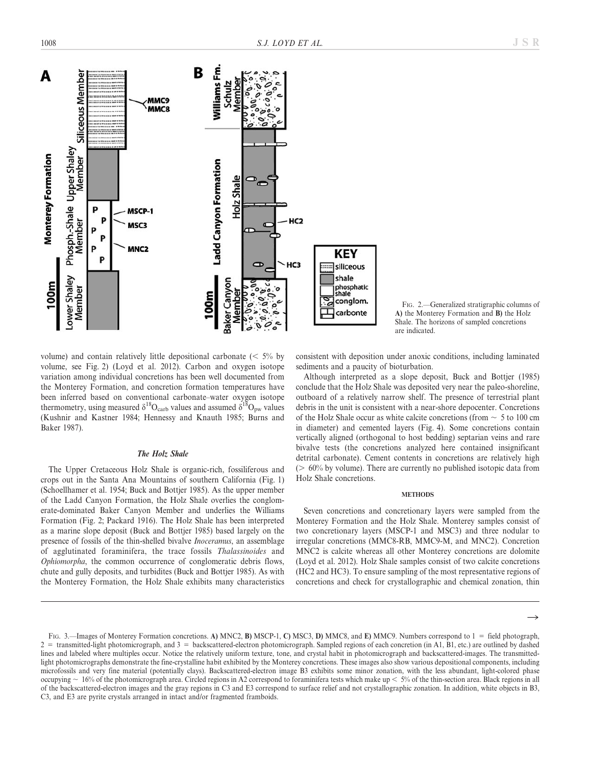



volume) and contain relatively little depositional carbonate  $\langle \, \langle 5 \rangle \rangle$  by volume, see Fig. 2) (Loyd et al. 2012). Carbon and oxygen isotope variation among individual concretions has been well documented from the Monterey Formation, and concretion formation temperatures have been inferred based on conventional carbonate–water oxygen isotope thermometry, using measured  $\delta^{18}O_{\text{carb}}$  values and assumed  $\delta^{18}O_{\text{pw}}$  values (Kushnir and Kastner 1984; Hennessy and Knauth 1985; Burns and Baker 1987).

## The Holz Shale

The Upper Cretaceous Holz Shale is organic-rich, fossiliferous and crops out in the Santa Ana Mountains of southern California (Fig. 1) (Schoellhamer et al. 1954; Buck and Bottjer 1985). As the upper member of the Ladd Canyon Formation, the Holz Shale overlies the conglomerate-dominated Baker Canyon Member and underlies the Williams Formation (Fig. 2; Packard 1916). The Holz Shale has been interpreted as a marine slope deposit (Buck and Bottjer 1985) based largely on the presence of fossils of the thin-shelled bivalve Inoceramus, an assemblage of agglutinated foraminifera, the trace fossils Thalassinoides and Ophiomorpha, the common occurrence of conglomeratic debris flows, chute and gully deposits, and turbidites (Buck and Bottjer 1985). As with the Monterey Formation, the Holz Shale exhibits many characteristics consistent with deposition under anoxic conditions, including laminated sediments and a paucity of bioturbation.

Although interpreted as a slope deposit, Buck and Bottjer (1985) conclude that the Holz Shale was deposited very near the paleo-shoreline, outboard of a relatively narrow shelf. The presence of terrestrial plant debris in the unit is consistent with a near-shore depocenter. Concretions of the Holz Shale occur as white calcite concretions (from  $\sim 5$  to 100 cm in diameter) and cemented layers (Fig. 4). Some concretions contain vertically aligned (orthogonal to host bedding) septarian veins and rare bivalve tests (the concretions analyzed here contained insignificant detrital carbonate). Cement contents in concretions are relatively high  $($  > 60% by volume). There are currently no published isotopic data from Holz Shale concretions.

### METHODS

Seven concretions and concretionary layers were sampled from the Monterey Formation and the Holz Shale. Monterey samples consist of two concretionary layers (MSCP-1 and MSC3) and three nodular to irregular concretions (MMC8-RB, MMC9-M, and MNC2). Concretion MNC2 is calcite whereas all other Monterey concretions are dolomite (Loyd et al. 2012). Holz Shale samples consist of two calcite concretions (HC2 and HC3). To ensure sampling of the most representative regions of concretions and check for crystallographic and chemical zonation, thin

 $\rightarrow$ 

FIG. 3.—Images of Monterey Formation concretions. A) MNC2, B) MSCP-1, C) MSC3, D) MMC8, and E) MMC9. Numbers correspond to 1 = field photograph,  $2 =$  transmitted-light photomicrograph, and  $3 =$  backscattered-electron photomicrograph. Sampled regions of each concretion (in A1, B1, etc.) are outlined by dashed lines and labeled where multiples occur. Notice the relatively uniform texture, tone, and crystal habit in photomicrograph and backscattered-images. The transmittedlight photomicrographs demonstrate the fine-crystalline habit exhibited by the Monterey concretions. These images also show various depositional components, including microfossils and very fine material (potentially clays). Backscattered-electron image B3 exhibits some minor zonation, with the less abundant, light-colored phase occupying  $\sim 16\%$  of the photomicrograph area. Circled regions in A2 correspond to foraminifera tests which make up  $\lt 5\%$  of the thin-section area. Black regions in all of the backscattered-electron images and the gray regions in C3 and E3 correspond to surface relief and not crystallographic zonation. In addition, white objects in B3, C3, and E3 are pyrite crystals arranged in intact and/or fragmented framboids.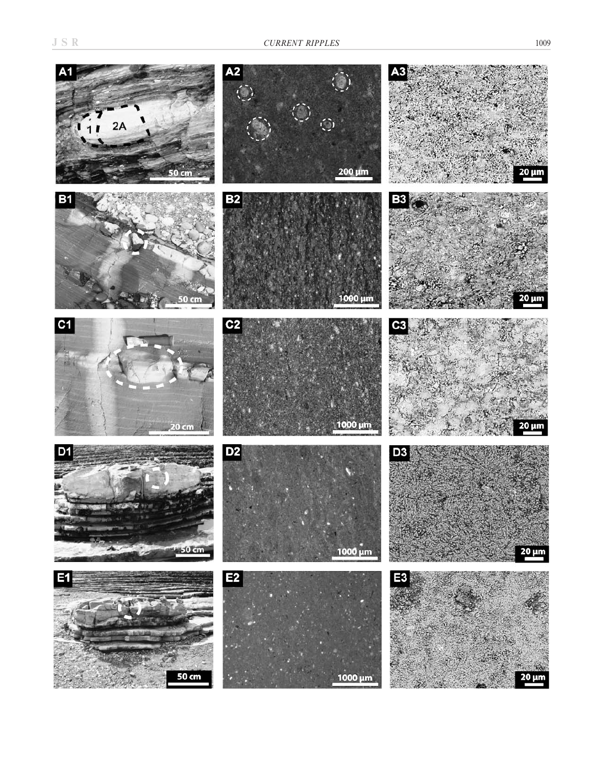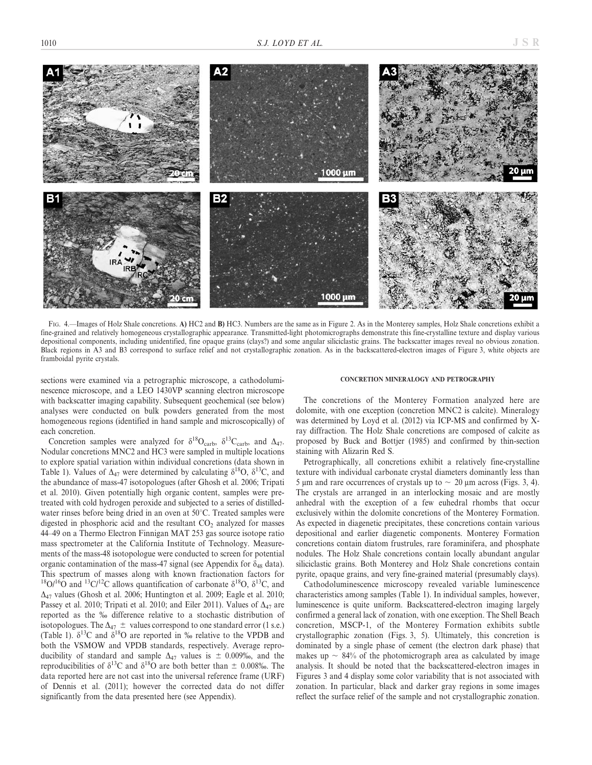

FIG. 4.—Images of Holz Shale concretions. A) HC2 and B) HC3. Numbers are the same as in Figure 2. As in the Monterey samples, Holz Shale concretions exhibit a fine-grained and relatively homogeneous crystallographic appearance. Transmitted-light photomicrographs demonstrate this fine-crystalline texture and display various depositional components, including unidentified, fine opaque grains (clays?) and some angular siliciclastic grains. The backscatter images reveal no obvious zonation. Black regions in A3 and B3 correspond to surface relief and not crystallographic zonation. As in the backscattered-electron images of Figure 3, white objects are framboidal pyrite crystals.

sections were examined via a petrographic microscope, a cathodoluminescence microscope, and a LEO 1430VP scanning electron microscope with backscatter imaging capability. Subsequent geochemical (see below) analyses were conducted on bulk powders generated from the most homogeneous regions (identified in hand sample and microscopically) of each concretion.

Concretion samples were analyzed for  $\delta^{18}O_{\rm carb}$ ,  $\delta^{13}C_{\rm carb}$ , and  $\Delta_{47}$ . Nodular concretions MNC2 and HC3 were sampled in multiple locations to explore spatial variation within individual concretions (data shown in Table 1). Values of  $\Delta_{47}$  were determined by calculating  $\delta^{18}O$ ,  $\delta^{13}C$ , and the abundance of mass-47 isotopologues (after Ghosh et al. 2006; Tripati et al. 2010). Given potentially high organic content, samples were pretreated with cold hydrogen peroxide and subjected to a series of distilledwater rinses before being dried in an oven at  $50^{\circ}$ C. Treated samples were digested in phosphoric acid and the resultant  $CO<sub>2</sub>$  analyzed for masses 44–49 on a Thermo Electron Finnigan MAT 253 gas source isotope ratio mass spectrometer at the California Institute of Technology. Measurements of the mass-48 isotopologue were conducted to screen for potential organic contamination of the mass-47 signal (see Appendix for  $\delta_{48}$  data). This spectrum of masses along with known fractionation factors for <sup>18</sup>O/<sup>16</sup>O and <sup>13</sup>C/<sup>12</sup>C allows quantification of carbonate  $\delta^{18}$ O,  $\delta^{13}$ C, and  $\Delta_{47}$  values (Ghosh et al. 2006; Huntington et al. 2009; Eagle et al. 2010; Passey et al. 2010; Tripati et al. 2010; and Eiler 2011). Values of  $\Delta_{47}$  are reported as the ‰ difference relative to a stochastic distribution of isotopologues. The  $\Delta_{47}$   $\pm$  values correspond to one standard error (1 s.e.) (Table 1).  $\delta^{13}$ C and  $\delta^{18}$ O are reported in ‰ relative to the VPDB and both the VSMOW and VPDB standards, respectively. Average reproducibility of standard and sample  $\Delta_{47}$  values is  $\pm$  0.009‰, and the reproducibilities of  $\delta^{13}$ C and  $\delta^{18}$ O are both better than  $\pm$  0.008‰. The data reported here are not cast into the universal reference frame (URF) of Dennis et al. (2011); however the corrected data do not differ significantly from the data presented here (see Appendix).

## CONCRETION MINERALOGY AND PETROGRAPHY

The concretions of the Monterey Formation analyzed here are dolomite, with one exception (concretion MNC2 is calcite). Mineralogy was determined by Loyd et al. (2012) via ICP-MS and confirmed by Xray diffraction. The Holz Shale concretions are composed of calcite as proposed by Buck and Bottjer (1985) and confirmed by thin-section staining with Alizarin Red S.

Petrographically, all concretions exhibit a relatively fine-crystalline texture with individual carbonate crystal diameters dominantly less than 5 µm and rare occurrences of crystals up to  $\sim$  20 µm across (Figs. 3, 4). The crystals are arranged in an interlocking mosaic and are mostly anhedral with the exception of a few euhedral rhombs that occur exclusively within the dolomite concretions of the Monterey Formation. As expected in diagenetic precipitates, these concretions contain various depositional and earlier diagenetic components. Monterey Formation concretions contain diatom frustrules, rare foraminifera, and phosphate nodules. The Holz Shale concretions contain locally abundant angular siliciclastic grains. Both Monterey and Holz Shale concretions contain pyrite, opaque grains, and very fine-grained material (presumably clays).

Cathodoluminescence microscopy revealed variable luminescence characteristics among samples (Table 1). In individual samples, however, luminescence is quite uniform. Backscattered-electron imaging largely confirmed a general lack of zonation, with one exception. The Shell Beach concretion, MSCP-1, of the Monterey Formation exhibits subtle crystallographic zonation (Figs. 3, 5). Ultimately, this concretion is dominated by a single phase of cement (the electron dark phase) that makes up  $\sim$  84% of the photomicrograph area as calculated by image analysis. It should be noted that the backscattered-electron images in Figures 3 and 4 display some color variability that is not associated with zonation. In particular, black and darker gray regions in some images reflect the surface relief of the sample and not crystallographic zonation.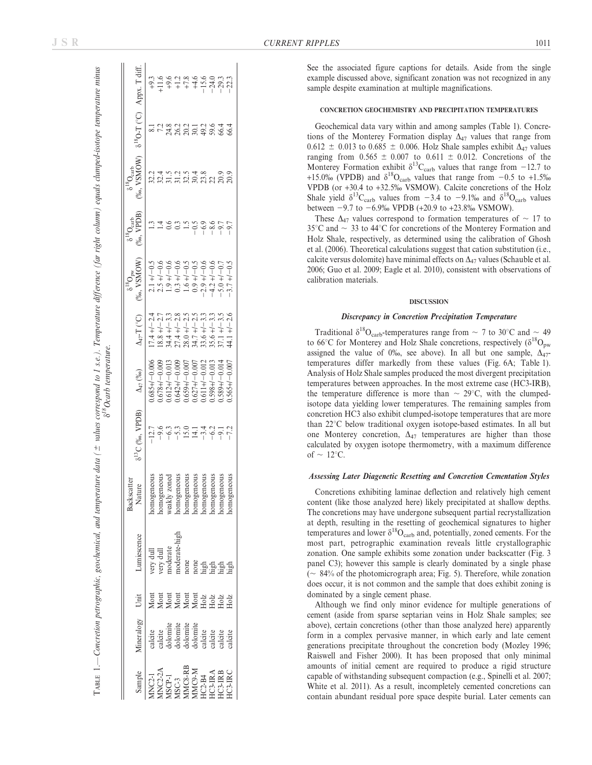| Appx. T diff.                                            |                                                                                 |                                        |                                    |                                                                                                                                                                                                                                                                                                               |                         |                    |                         | $\begin{array}{l} 1.6 \\ + 1.2 \\ + 1.3 \\ + 1.4 \\ + 1.5 \\ - 1.4 \\ - 1.5 \\ - 2.3 \\ - 1.5 \\ - 1.5 \\ - 1.5 \\ - 1.5 \\ - 1.5 \\ - 1.5 \\ - 1.5 \\ - 1.5 \\ - 1.5 \\ - 1.5 \\ - 1.5 \\ - 1.5 \\ - 1.5 \\ - 1.5 \\ - 1.5 \\ - 1.5 \\ - 1.5 \\ - 1.5 \\ - 1.5 \\ - 1.5 \\ - 1.5 \\ - 1.5 \\ - 1.5 \\ - 1.5 \\ - 1.5 \\ - 1.5 \\ - 1.5 \\ - 1.$ | See the associated figure captions for details. Aside from the single<br>example discussed above, significant zonation was not recognized in any<br>sample despite examination at multiple magnifications.                                                                                                                                                                                                                                                                                      |
|----------------------------------------------------------|---------------------------------------------------------------------------------|----------------------------------------|------------------------------------|---------------------------------------------------------------------------------------------------------------------------------------------------------------------------------------------------------------------------------------------------------------------------------------------------------------|-------------------------|--------------------|-------------------------|--------------------------------------------------------------------------------------------------------------------------------------------------------------------------------------------------------------------------------------------------------------------------------------------------------------------------------------------------|-------------------------------------------------------------------------------------------------------------------------------------------------------------------------------------------------------------------------------------------------------------------------------------------------------------------------------------------------------------------------------------------------------------------------------------------------------------------------------------------------|
| $O_{0}$ L- $O_{81}$                                      | = 2 % 3 3 5 5 9 % 4 4<br>= 2 % 4 % 5 % 9 % 9 %                                  |                                        |                                    |                                                                                                                                                                                                                                                                                                               |                         |                    |                         |                                                                                                                                                                                                                                                                                                                                                  | <b>CONCRETION GEOCHEMISTRY AND PRECIPITATION TEMPERATURES</b><br>Geochemical data vary within and among samples (Table 1). Concre-<br>tions of the Monterey Formation display $\Delta_{47}$ values that range from<br>$0.612 \pm 0.013$ to $0.685 \pm 0.006$ . Holz Shale samples exhibit $\Delta_{47}$ values                                                                                                                                                                                  |
| $\delta^{18}O_{\rm carb}$<br>(‰, VSMOW)                  |                                                                                 |                                        |                                    |                                                                                                                                                                                                                                                                                                               |                         |                    |                         |                                                                                                                                                                                                                                                                                                                                                  | ranging from $0.565 \pm 0.007$ to $0.611 \pm 0.012$ . Concretions of the<br>Monterey Formation exhibit $\delta^{13}C_{\text{carb}}$ values that range from -12.7 to<br>+15.0% (VPDB) and $\delta^{18}O_{\rm carb}$ values that range from -0.5 to +1.5%<br>VPDB (or +30.4 to +32.5% VSMOW). Calcite concretions of the Holz<br>Shale yield $\delta^{13}C_{\rm carb}$ values from -3.4 to -9.1% and $\delta^{18}O_{\rm carb}$ values<br>between $-9.7$ to $-6.9\%$ VPDB (+20.9 to +23.8% VSMOW). |
| $_{0.6}^{18}O_{\rm earth}$<br>%, VPDB)<br><sup>‰</sup> , | 11601                                                                           |                                        |                                    |                                                                                                                                                                                                                                                                                                               |                         | $-0.5$<br>$-8.6$   |                         | $\sim$<br>$\dot{\varphi}$                                                                                                                                                                                                                                                                                                                        | These $\Delta_{47}$ values correspond to formation temperatures of $\sim 17$ to<br>35 °C and $\sim$ 33 to 44 °C for concretions of the Monterey Formation and<br>Holz Shale, respectively, as determined using the calibration of Ghosh<br>et al. (2006). Theoretical calculations suggest that cation substitution (i.e.,                                                                                                                                                                      |
| (%o, VSMOW)<br>$\delta^{18}\rm{O}_{\rm{pw}}$             |                                                                                 | $-0.6$                                 | $-0.6$<br>Ŧ                        | $-0.5$<br>$\Rightarrow$<br>2399922                                                                                                                                                                                                                                                                            | $-0.5$<br>$\Rightarrow$ |                    |                         | $\circ$                                                                                                                                                                                                                                                                                                                                          | calcite versus dolomite) have minimal effects on $\Delta_{47}$ values (Schauble et al.<br>2006; Guo et al. 2009; Eagle et al. 2010), consistent with observations of<br>calibration materials.                                                                                                                                                                                                                                                                                                  |
|                                                          |                                                                                 |                                        |                                    |                                                                                                                                                                                                                                                                                                               |                         |                    |                         |                                                                                                                                                                                                                                                                                                                                                  | <b>DISCUSSION</b>                                                                                                                                                                                                                                                                                                                                                                                                                                                                               |
| $\Delta_{47}$ -T (°C)                                    |                                                                                 | $34.4 + 1$<br>$27.4 + 1$<br>$28.0 + 1$ |                                    | $\begin{array}{c} 1, & 1, & 1, \\ 1, & 1, & 1, \\ 1, & 1, & 1, \\ 1, & 1, & 1, \\ 1, & 1, & 1, \\ 1, & 1, & 1, \\ 1, & 1, & 1, \\ 1, & 1, & 1, \\ 1, & 1, & 1, \\ 1, & 1, & 1, \\ 1, & 1, & 1, \\ 1, & 1, & 1, \\ 1, & 1, & 1, \\ 1, & 1, & 1, \\ 1, & 1, & 1, \\ 1, & 1, & 1, \\ 1, & 1, & 1, \\ 1, & 1, & $ | Ŧ<br>34.7               | Ŧ<br>33.6          |                         |                                                                                                                                                                                                                                                                                                                                                  | <b>Discrepancy in Concretion Precipitation Temperature</b><br>Traditional $\delta^{18}O_{\rm carb}$ -temperatures range from $\sim$ 7 to 30°C and $\sim$ 49<br>to 66 °C for Monterey and Holz Shale concretions, respectively ( $\delta^{18}O_{\text{pw}}$                                                                                                                                                                                                                                      |
| $\Delta_{47}$ $\binom{9}{7}$ $\!0$                       | $0.685 + (-0.006$                                                               | $0.612 + (-0.013)$                     | $0.642+/-0.009$<br>$0.659+/-0.007$ |                                                                                                                                                                                                                                                                                                               | $0.627 + / -0.007$      | $0.611 + l - 0.01$ | $-0.013$<br>$0.598 + 1$ | $/ -0.014$<br>$-0.007$<br>$0.589 + l$                                                                                                                                                                                                                                                                                                            | assigned the value of 0%, see above). In all but one sample, $\Delta_{47}$<br>temperatures differ markedly from these values (Fig. 6A; Table 1).<br>Analysis of Holz Shale samples produced the most divergent precipitation<br>temperatures between approaches. In the most extreme case (HC3-IRB),<br>the temperature difference is more than $\sim 29^{\circ}$ C, with the clumped-<br>isotope data yielding lower temperatures. The remaining samples from                                  |
| $\delta^{13}C$ (%o, VPDB)                                | $717$<br>$-9.6$<br>$-1$<br>$-1$<br>$-1$<br>$-1$<br>$-1$<br>$-1$<br>$-1$<br>$-1$ |                                        |                                    |                                                                                                                                                                                                                                                                                                               |                         |                    | $-6.2$                  | $-9.1$                                                                                                                                                                                                                                                                                                                                           | concretion HC3 also exhibit clumped-isotope temperatures that are more<br>than 22°C below traditional oxygen isotope-based estimates. In all but<br>one Monterey concretion, $\Delta_{47}$ temperatures are higher than those<br>calculated by oxygen isotope thermometry, with a maximum difference<br>of $\sim 12^{\circ}$ C.                                                                                                                                                                 |
|                                                          |                                                                                 |                                        |                                    |                                                                                                                                                                                                                                                                                                               |                         |                    |                         |                                                                                                                                                                                                                                                                                                                                                  | Assessing Later Diagenetic Resetting and Concretion Cementation Styles                                                                                                                                                                                                                                                                                                                                                                                                                          |
| Backscatter<br>Ľe<br>Natu                                |                                                                                 |                                        |                                    |                                                                                                                                                                                                                                                                                                               |                         |                    |                         |                                                                                                                                                                                                                                                                                                                                                  | Concretions exhibiting laminae deflection and relatively high cement<br>content (like those analyzed here) likely precipitated at shallow depths.<br>The concretions may have undergone subsequent partial recrystallization<br>at depth, resulting in the resetting of geochemical signatures to higher                                                                                                                                                                                        |
| Lumiescence                                              | very dull<br>very dull                                                          | moderate                               | moderate-high                      |                                                                                                                                                                                                                                                                                                               |                         |                    |                         | e de fantaria<br>En fantaria<br>En fantaria                                                                                                                                                                                                                                                                                                      | temperatures and lower $\delta^{18}O_{\rm carb}$ and, potentially, zoned cements. For the<br>most part, petrographic examination reveals little crystallographic<br>zonation. One sample exhibits some zonation under backscatter (Fig. 3<br>panel C3); however this sample is clearly dominated by a single phase<br>( $\sim 84\%$ of the photomicrograph area; Fig. 5). Therefore, while zonation<br>does occur, it is not common and the sample that does exhibit zoning is                  |
| Unit                                                     | Mont<br>Mont                                                                    | Mont                                   |                                    | Mont<br>Mont<br>Mont<br>Holz<br>Holz<br>Holz                                                                                                                                                                                                                                                                  |                         |                    |                         | Holz                                                                                                                                                                                                                                                                                                                                             | dominated by a single cement phase.<br>Although we find only minor evidence for multiple generations of                                                                                                                                                                                                                                                                                                                                                                                         |
| Mineralogy                                               | calcite<br>calcite                                                              | dolomite                               | dolomite                           | dolomite                                                                                                                                                                                                                                                                                                      | dolomite                | calcite            | calcite                 | calcite<br>calcite                                                                                                                                                                                                                                                                                                                               | cement (aside from sparse septarian veins in Holz Shale samples; see<br>above), certain concretions (other than those analyzed here) apparently<br>form in a complex pervasive manner, in which early and late cement<br>generations precipitate throughout the concretion body (Mozley 1996;<br>Raiswell and Fisher 2000). It has been proposed that only minimal                                                                                                                              |
| Sample                                                   | <b>MNC2-1</b>                                                                   | MNC2-2A<br>MSCP-1<br>MSC-3             |                                    | MMC8-RB                                                                                                                                                                                                                                                                                                       | MMC9-M                  | HC2-B4             | HC3-IRA                 | HC3-IRB<br>HC3-IRC                                                                                                                                                                                                                                                                                                                               | amounts of initial cement are required to produce a rigid structure<br>capable of withstanding subsequent compaction (e.g., Spinelli et al. 2007;<br>White et al. 2011). As a result, incompletely cemented concretions can<br>contain abundant residual pore space despite burial. Later cements can                                                                                                                                                                                           |

TABLE 1.—Concretion petrographic, geochemical, and temperature data (  $\pm$  values correspond to 1 s.e.). Temperature difference (for right column) equals clumped-isotope temperature minus

## CONCRETION GEOCHEMISTRY AND PRECIPITATION TEMPERATURES

## DISCUSSION

#### Discrepancy in Concretion Precipitation Temperature

## Assessing Later Diagenetic Resetting and Concretion Cementation Styles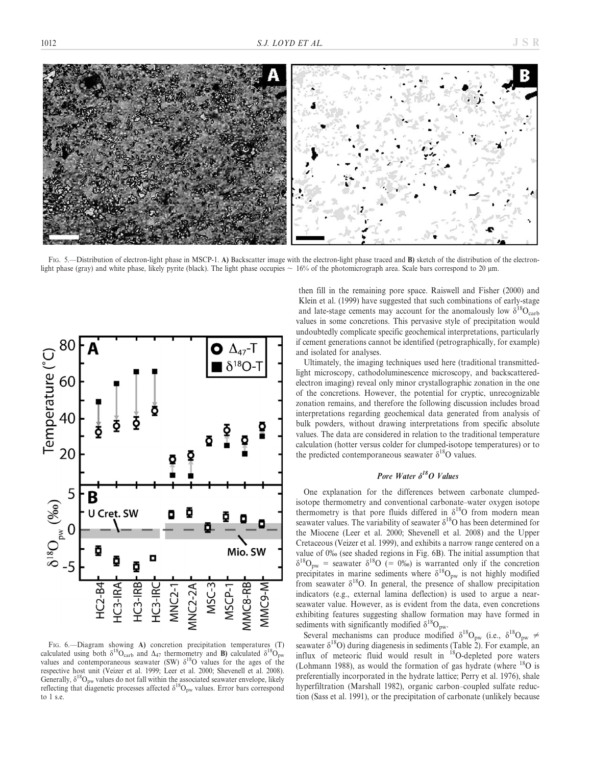

FIG. 5.—Distribution of electron-light phase in MSCP-1. A) Backscatter image with the electron-light phase traced and B) sketch of the distribution of the electronlight phase (gray) and white phase, likely pyrite (black). The light phase occupies  $\sim 16\%$  of the photomicrograph area. Scale bars correspond to 20 µm.



FIG. 6.—Diagram showing A) concretion precipitation temperatures (T) calculated using both  $\delta^{18}O_{\rm carb}$  and  $\Delta_{47}$  thermometry and **B**) calculated  $\delta^{18}O_{\rm pw}$ values and contemporaneous seawater (SW)  $\delta^{18}O$  values for the ages of the respective host unit (Veizer et al. 1999; Leer et al. 2000; Shevenell et al. 2008). Generally,  $\delta^{18}O_{\text{pw}}$  values do not fall within the associated seawater envelope, likely reflecting that diagenetic processes affected  $\delta^{18}O_{pw}$  values. Error bars correspond to 1 s.e.

then fill in the remaining pore space. Raiswell and Fisher (2000) and Klein et al. (1999) have suggested that such combinations of early-stage and late-stage cements may account for the anomalously low  $\delta^{18}O_{\rm carb}$ values in some concretions. This pervasive style of precipitation would undoubtedly complicate specific geochemical interpretations, particularly if cement generations cannot be identified (petrographically, for example) and isolated for analyses.

Ultimately, the imaging techniques used here (traditional transmittedlight microscopy, cathodoluminescence microscopy, and backscatteredelectron imaging) reveal only minor crystallographic zonation in the one of the concretions. However, the potential for cryptic, unrecognizable zonation remains, and therefore the following discussion includes broad interpretations regarding geochemical data generated from analysis of bulk powders, without drawing interpretations from specific absolute values. The data are considered in relation to the traditional temperature calculation (hotter versus colder for clumped-isotope temperatures) or to the predicted contemporaneous seawater  $\delta^{18}$ O values.

# Pore Water  $\delta^{18}O$  Values

One explanation for the differences between carbonate clumpedisotope thermometry and conventional carbonate–water oxygen isotope thermometry is that pore fluids differed in  $\delta^{18}O$  from modern mean seawater values. The variability of seawater  $\delta^{18}O$  has been determined for the Miocene (Leer et al. 2000; Shevenell et al. 2008) and the Upper Cretaceous (Veizer et al. 1999), and exhibits a narrow range centered on a value of 0% (see shaded regions in Fig. 6B). The initial assumption that  $\delta^{18}O_{\text{pw}}$  = seawater  $\delta^{18}O$  (= 0‰) is warranted only if the concretion precipitates in marine sediments where  $\delta^{18}O_{pw}$  is not highly modified from seawater  $\delta^{18}O$ . In general, the presence of shallow precipitation indicators (e.g., external lamina deflection) is used to argue a nearseawater value. However, as is evident from the data, even concretions exhibiting features suggesting shallow formation may have formed in sediments with significantly modified  $\delta^{18}O_{\text{pw}}$ .

Several mechanisms can produce modified  $\delta^{18}O_{pw}$  (i.e.,  $\delta^{18}O_{pw} \neq$ seawater  $\delta^{18}O$ ) during diagenesis in sediments (Table 2). For example, an influx of meteoric fluid would result in 18O-depleted pore waters (Lohmann 1988), as would the formation of gas hydrate (where  $^{18}O$  is preferentially incorporated in the hydrate lattice; Perry et al. 1976), shale hyperfiltration (Marshall 1982), organic carbon–coupled sulfate reduction (Sass et al. 1991), or the precipitation of carbonate (unlikely because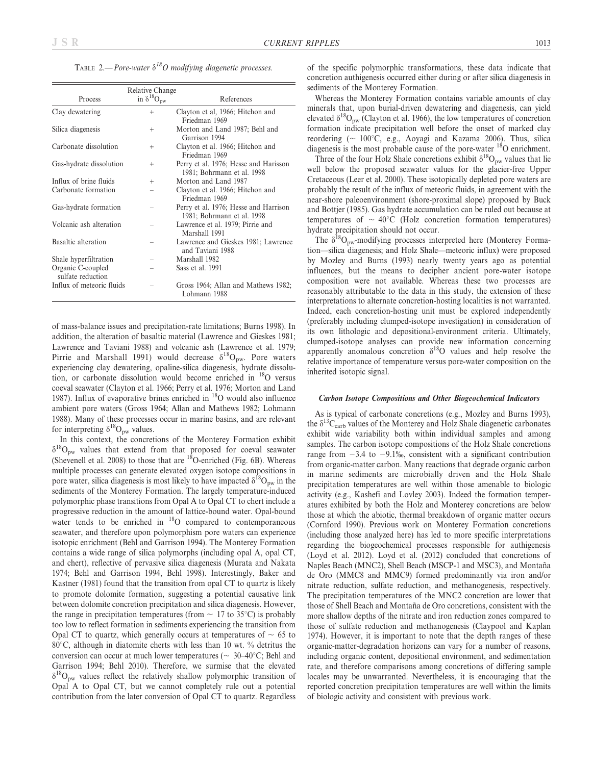|  |  | TABLE 2.—Pore-water $\delta^{18}O$ modifying diagenetic processes. |  |  |  |  |
|--|--|--------------------------------------------------------------------|--|--|--|--|
|--|--|--------------------------------------------------------------------|--|--|--|--|

|                                        | Relative Change               |                                                                     |
|----------------------------------------|-------------------------------|---------------------------------------------------------------------|
| Process                                | in $\delta^{18}O_{\text{nw}}$ | References                                                          |
| Clay dewatering                        | $^{+}$                        | Clayton et al, 1966; Hitchon and<br>Friedman 1969                   |
| Silica diagenesis                      | $^{+}$                        | Morton and Land 1987; Behl and<br>Garrison 1994                     |
| Carbonate dissolution                  | $^{+}$                        | Clayton et al. 1966; Hitchon and<br>Friedman 1969                   |
| Gas-hydrate dissolution                | $^{+}$                        | Perry et al. 1976; Hesse and Harisson<br>1981; Bohrmann et al. 1998 |
| Influx of brine fluids                 | $^{+}$                        | Morton and Land 1987                                                |
| Carbonate formation                    |                               | Clayton et al. 1966; Hitchon and<br>Friedman 1969                   |
| Gas-hydrate formation                  |                               | Perry et al. 1976; Hesse and Harrison<br>1981; Bohrmann et al. 1998 |
| Volcanic ash alteration                |                               | Lawrence et al. 1979; Pirrie and<br>Marshall 1991                   |
| Basaltic alteration                    |                               | Lawrence and Gieskes 1981; Lawrence<br>and Taviani 1988             |
| Shale hyperfiltration                  |                               | Marshall 1982                                                       |
| Organic C-coupled<br>sulfate reduction |                               | Sass et al. 1991                                                    |
| Influx of meteoric fluids              |                               | Gross 1964; Allan and Mathews 1982;<br>Lohmann 1988                 |

of mass-balance issues and precipitation-rate limitations; Burns 1998). In addition, the alteration of basaltic material (Lawrence and Gieskes 1981; Lawrence and Taviani 1988) and volcanic ash (Lawrence et al. 1979; Pirrie and Marshall 1991) would decrease  $\delta^{18}O_{\text{pw}}$ . Pore waters experiencing clay dewatering, opaline-silica diagenesis, hydrate dissolution, or carbonate dissolution would become enriched in  $^{18}$ O versus coeval seawater (Clayton et al. 1966; Perry et al. 1976; Morton and Land 1987). Influx of evaporative brines enriched in  $\mathrm{^{18}O}$  would also influence ambient pore waters (Gross 1964; Allan and Mathews 1982; Lohmann 1988). Many of these processes occur in marine basins, and are relevant for interpreting  $\delta^{18}O_{pw}$  values.

In this context, the concretions of the Monterey Formation exhibit  $\delta^{18}O_{\text{pw}}$  values that extend from that proposed for coeval seawater (Shevenell et al. 2008) to those that are  $18$ O-enriched (Fig. 6B). Whereas multiple processes can generate elevated oxygen isotope compositions in pore water, silica diagenesis is most likely to have impacted  $\delta^{18}O_{pw}$  in the sediments of the Monterey Formation. The largely temperature-induced polymorphic phase transitions from Opal A to Opal CT to chert include a progressive reduction in the amount of lattice-bound water. Opal-bound water tends to be enriched in  $^{18}$ O compared to contemporaneous seawater, and therefore upon polymorphism pore waters can experience isotopic enrichment (Behl and Garrison 1994). The Monterey Formation contains a wide range of silica polymorphs (including opal A, opal CT, and chert), reflective of pervasive silica diagenesis (Murata and Nakata 1974; Behl and Garrison 1994, Behl 1998). Interestingly, Baker and Kastner (1981) found that the transition from opal CT to quartz is likely to promote dolomite formation, suggesting a potential causative link between dolomite concretion precipitation and silica diagenesis. However, the range in precipitation temperatures (from  $\sim$  17 to 35°C) is probably too low to reflect formation in sediments experiencing the transition from Opal CT to quartz, which generally occurs at temperatures of  $\sim$  65 to 80 $^{\circ}$ C, although in diatomite cherts with less than 10 wt. % detritus the conversion can occur at much lower temperatures ( $\sim$  30–40 °C; Behl and Garrison 1994; Behl 2010). Therefore, we surmise that the elevated  $\delta^{18}O_{\text{pw}}$  values reflect the relatively shallow polymorphic transition of Opal A to Opal CT, but we cannot completely rule out a potential contribution from the later conversion of Opal CT to quartz. Regardless of the specific polymorphic transformations, these data indicate that concretion authigenesis occurred either during or after silica diagenesis in sediments of the Monterey Formation.

Whereas the Monterey Formation contains variable amounts of clay minerals that, upon burial-driven dewatering and diagenesis, can yield elevated  $\delta^{18}O_{\text{pw}}$  (Clayton et al. 1966), the low temperatures of concretion formation indicate precipitation well before the onset of marked clay reordering ( $\sim 100^{\circ}$ C, e.g., Aoyagi and Kazama 2006). Thus, silica diagenesis is the most probable cause of the pore-water  $18$ O enrichment.

Three of the four Holz Shale concretions exhibit  $\delta^{18}O_{pw}$  values that lie well below the proposed seawater values for the glacier-free Upper Cretaceous (Leer et al. 2000). These isotopically depleted pore waters are probably the result of the influx of meteoric fluids, in agreement with the near-shore paleoenvironment (shore-proximal slope) proposed by Buck and Bottjer (1985). Gas hydrate accumulation can be ruled out because at temperatures of  $\sim 40^{\circ}$ C (Holz concretion formation temperatures) hydrate precipitation should not occur.

The  $\delta^{18}O_{pw}$ -modifying processes interpreted here (Monterey Formation—silica diagenesis; and Holz Shale—meteoric influx) were proposed by Mozley and Burns (1993) nearly twenty years ago as potential influences, but the means to decipher ancient pore-water isotope composition were not available. Whereas these two processes are reasonably attributable to the data in this study, the extension of these interpretations to alternate concretion-hosting localities is not warranted. Indeed, each concretion-hosting unit must be explored independently (preferably including clumped-isotope investigation) in consideration of its own lithologic and depositional-environment criteria. Ultimately, clumped-isotope analyses can provide new information concerning apparently anomalous concretion  $\delta^{18}O$  values and help resolve the relative importance of temperature versus pore-water composition on the inherited isotopic signal.

## Carbon Isotope Compositions and Other Biogeochemical Indicators

As is typical of carbonate concretions (e.g., Mozley and Burns 1993), the  $\delta^{13}C_{\rm carb}$  values of the Monterey and Holz Shale diagenetic carbonates exhibit wide variability both within individual samples and among samples. The carbon isotope compositions of the Holz Shale concretions range from  $-3.4$  to  $-9.1\%$ , consistent with a significant contribution from organic-matter carbon. Many reactions that degrade organic carbon in marine sediments are microbially driven and the Holz Shale precipitation temperatures are well within those amenable to biologic activity (e.g., Kashefi and Lovley 2003). Indeed the formation temperatures exhibited by both the Holz and Monterey concretions are below those at which the abiotic, thermal breakdown of organic matter occurs (Cornford 1990). Previous work on Monterey Formation concretions (including those analyzed here) has led to more specific interpretations regarding the biogeochemical processes responsible for authigenesis (Loyd et al. 2012). Loyd et al. (2012) concluded that concretions of Naples Beach (MNC2), Shell Beach (MSCP-1 and MSC3), and Montaña de Oro (MMC8 and MMC9) formed predominantly via iron and/or nitrate reduction, sulfate reduction, and methanogenesis, respectively. The precipitation temperatures of the MNC2 concretion are lower that those of Shell Beach and Montaña de Oro concretions, consistent with the more shallow depths of the nitrate and iron reduction zones compared to those of sulfate reduction and methanogenesis (Claypool and Kaplan 1974). However, it is important to note that the depth ranges of these organic-matter-degradation horizons can vary for a number of reasons, including organic content, depositional environment, and sedimentation rate, and therefore comparisons among concretions of differing sample locales may be unwarranted. Nevertheless, it is encouraging that the reported concretion precipitation temperatures are well within the limits of biologic activity and consistent with previous work.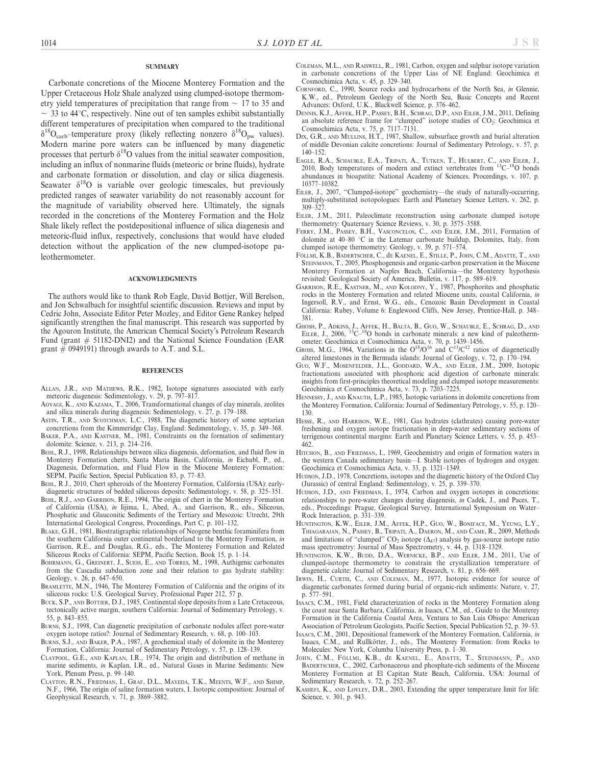## **SUMMARY**

Carbonate concretions of the Miocene Monterey Formation and the Upper Cretaceous Holz Shale analyzed using clumped-isotope thermometry yield temperatures of precipitation that range from  $\sim$  17 to 35 and  $\sim$  33 to 44 °C, respectively. Nine out of ten samples exhibit substantially different temperatures of precipitation when compared to the traditional  $\delta^{18}O_{\rm carb}$ -temperature proxy (likely reflecting nonzero  $\delta^{18}O_{\rm pw}$  values). Modern marine pore waters can be influenced by many diagenetic processes that perturb  $\delta^{18}O$  values from the initial seawater composition, including an influx of nonmarine fluids (meteoric or brine fluids), hydrate and carbonate formation or dissolution, and clay or silica diagenesis. Seawater  $\delta^{18}O$  is variable over geologic timescales, but previously predicted ranges of seawater variability do not reasonably account for the magnitude of variability observed here. Ultimately, the signals recorded in the concretions of the Monterey Formation and the Holz Shale likely reflect the postdepositional influence of silica diagenesis and meteoric-fluid influx, respectively, conclusions that would have eluded detection without the application of the new clumped-isotope paleothermometer.

#### ACKNOWLEDGMENTS

The authors would like to thank Rob Eagle, David Bottjer, Will Berelson, and Jon Schwalbach for insightful scientific discussion. Reviews and input by Cedric John, Associate Editor Peter Mozley, and Editor Gene Rankey helped significantly strengthen the final manuscript. This research was supported by the Agouron Institute, the American Chemical Society's Petroleum Research Fund (grant # 51182-DNI2) and the National Science Foundation (EAR grant  $#$  0949191) through awards to A.T. and S.L.

#### **REFERENCES**

- ALLAN, J.R., AND MATHEWS, R.K., 1982, Isotope signatures associated with early meteoric diagenesis: Sedimentology, v. 29, p. 797–817.
- AOYAGI, K., AND KAZAMA, T., 2006, Transformational changes of clay minerals, zeolites and silica minerals during diagenesis: Sedimentology, v. 27, p. 179–188.
- ASTIN, T.R., AND SCOTCHMAN, L.C., 1988, The diagenetic history of some septarian concretions from the Kimmeridge Clay, England: Sedimentology, v. 35, p. 349–368.
- BAKER, P.A., AND KASTNER, M., 1981, Constraints on the formation of sedimentary dolomite: Science, v. 213, p. 214–216. BEHL, R.J., 1998, Relationships between silica diagenesis, deformation, and fluid flow in
- Monterey Formation cherts, Santa Maria Basin, California, in Eichubl, P., ed., Diagenesis, Deformation, and Fluid Flow in the Miocene Monterey Formation: SEPM, Pacific Section, Special Publication 83, p. 77–83.
- BEHL, R.J., 2010, Chert spheroids of the Monterey Formation, California (USA): earlydiagenetic structures of bedded siliceous deposits: Sedimentology, v. 58, p. 325–351.
- BEHL, R.J., AND GARRISON, R.E., 1994, The origin of chert in the Monterey Formation of California (USA), in Iijima, I., Abed, A., and Garrison, R., eds., Siliceous, Phosphatic and Glauconitic Sediments of the Tertiary and Mesozoic: Utrecht, 29th International Geological Congress, Proceedings, Part C, p. 101–132.
- BLAKE, G.H., 1981, Biostratigraphic relationships of Neogene benthic foraminifera from the southern California outer continental borderland to the Monterey Formation, in Garrison, R.E., and Douglas, R.G., eds., The Monterey Formation and Related Siliceous Rocks of California: SEPM, Pacific Section, Book 15, p. 1–14.
- BOHRMANN, G., GREINERT, J., SUESS, E., AND TORRES, M., 1998, Authigenic carbonates from the Cascadia subduction zone and their relation to gas hydrate stability: Geology, v. 26, p. 647–650.
- BRAMLETTE, M.N., 1946, The Monterey Formation of California and the origins of its siliceous rocks: U.S. Geological Survey, Professional Paper 212, 57 p.
- BUCK, S.P., AND BOTTJER, D.J., 1985, Continental slope deposits from a Late Cretaceous, tectonically active margin, southern California: Journal of Sedimentary Petrology, v. 55, p. 843–855.
- BURNS, S.J., 1998, Can diagenetic precipitation of carbonate nodules affect pore-water oxygen isotope ratios?: Journal of Sedimentary Research, v. 68, p. 100–103.
- BURNS, S.J., AND BAKER, P.A., 1987, A geochemical study of dolomite in the Monterey Formation, California: Journal of Sedimentary Petrology, v. 57, p. 128–139.
- CLAYPOOL, G.E., AND KAPLAN, I.R., 1974, The origin and distribution of methane in marine sediments, in Kaplan, I.R., ed., Natural Gases in Marine Sediments: New York, Plenum Press, p. 99-140.
- CLAYTON, R.N., FRIEDMAN, I., GRAF, D.L., MAYEDA, T.K., MEENTS, W.F., AND SHIMP, N.F., 1966, The origin of saline formation waters, I. Isotopic composition: Journal of Geophysical Research, v. 71, p. 3869–3882.
- COLEMAN, M.L., AND RAISWELL, R., 1981, Carbon, oxygen and sulphur isotope variation in carbonate concretions of the Upper Lias of NE England: Geochimica et Cosmochimica Acta, v. 45, p. 329–340.
- CORNFORD, C., 1990, Source rocks and hydrocarbons of the North Sea, in Glennie, K.W., ed., Petroleum Geology of the North Sea, Basic Concepts and Recent Advances: Oxford, U.K., Blackwell Science, p. 376–462.
- DENNIS, K.J., AFFEK, H.P., PASSEY, B.H., SCHRAG, D.P., AND EILER, J.M., 2011, Defining an absolute reference frame for "clumped" isotope studies of CO<sub>2</sub>: Geochimica et Cosmochimica Acta, v. 75, p. 7117–7131.
- DIX, G.R., AND MULLINS, H.T., 1987, Shallow, subsurface growth and burial alteration of middle Devonian calcite concretions: Journal of Sedimentary Petrology, v. 57, p. 140–152.
- EAGLE, R.A., SCHAUBLE, E.A., TRIPATI, A., TUTKEN, T., HULBERT, C., AND EILER, J., 2010, Body temperatures of modern and extinct vertebrates from  $^{13}$ C– $^{18}$ O bonds abundances in bioapatite: National Academy of Sciences, Proceedings, v. 107, p. 10377–10382.
- EILER, J., 2007, ''Clumped-isotope'' geochemistry—the study of naturally-occurring, multiply-substituted isotopologues: Earth and Planetary Science Letters, v. 262, p. 309–327.
- EILER, J.M., 2011, Paleoclimate reconstruction using carbonate clumped isotope thermometry: Quaternary Science Reviews, v. 30, p. 3575–3588.
- FERRY, J.M., PASSEY, B.H., VASCONCELOS, C., AND EILER, J.M., 2011, Formation of dolomite at 40–80  $^{\circ}$ C in the Latemar carbonate buildup, Dolomites, Italy, from clumped isotope thermometry: Geology, v. 39, p. 571–574.
- FÖLLMI, K.B., BADERTSCHER, C., de KAENEL, E., STILLE, P., JOHN, C.M., ADATTE, T., AND STEINMANN, T., 2005, Phosphogenesis and organic-carbon preservation in the Miocene Monterey Formation at Naples Beach, California—the Monterey hypothesis revisited: Geological Society of America, Bulletin, v. 117, p. 589–619.
- GARRISON, R.E., KASTNER, M., AND KOLODNY, Y., 1987, Phosphorites and phosphatic rocks in the Monterey Formation and related Miocene units, coastal California, in Ingersoll, R.V., and Ernst, W.G., eds., Cenozoic Basin Development in Coastal California: Rubey, Volume 6: Englewood Cliffs, New Jersey, Prentice-Hall, p. 348– 381.
- GHOSH, P., ADKINS, J., AFFEK, H., BALTA, B., GUO, W., SCHAUBLE, E., SCHRAG, D., AND<br>EILER, J., 2006, <sup>13</sup>C-<sup>18</sup>O bonds in carbonate minerals: a new kind of paleotherm-
- ometer: Geochimica et Cosmochimica Acta, v. 70, p. 1439–1456.<br>Gross, M.G., 1964, Variations in the O<sup>18</sup>/O<sup>16</sup> and C<sup>13</sup>/C<sup>12</sup> ratios of diagenetically altered limestones in the Bermuda islands: Journal of Geology, v. 72, p. 170–194.
- GUO, W.F., MOSENFELDER, J.L., GODDARD, W.A., AND EILER, J.M., 2009, Isotopic fractionations associated with phosphoric acid digestion of carbonate minerals: insights from first-principles theoretical modeling and clumped isotope measurements: Geochimica et Cosmochimica Acta, v. 73, p. 7203–7225.
- HENNESSY, J., AND KNAUTH, L.P., 1985, Isotopic variations in dolomite concretions from the Monterey Formation, California: Journal of Sedimentary Petrology, v. 55, p. 120– 130.
- HESSE, R., AND HARRISON, W.E., 1981, Gas hydrates (clathrates) causing pore-water freshening and oxygen isotope fractionation in deep-water sedimentary sections of terrigenous continental margins: Earth and Planetary Science Letters, v. 55, p. 453– 462.
- HITCHON, B., AND FRIEDMAN, I., 1969, Geochemistry and origin of formation waters in the western Canada sedimentary basin—I. Stable isotopes of hydrogen and oxygen: Geochimica et Cosmochimica Acta, v. 33, p. 1321–1349.
- HUDSON, J.D., 1978, Concretions, isotopes and the diagenetic history of the Oxford Clay (Jurassic) of central England: Sedimentology, v. 25, p. 339–370.
- HUDSON, J.D., AND FRIEDMAN, I., 1974, Carbon and oxygen isotopes in concretions: relationships to pore-water changes during diagenesis, in Cadek, J., and Paces, T., eds., Proceedings: Prague, Geological Survey, International Symposium on Water– Rock Interaction, p. 331–339.
- HUNTINGTON, K.W., EILER, J.M., AFFEK, H.P., GUO, W., BONIFACE, M., YEUNG, L.Y., THIAGARAJAN, N., PASSEY, B., TRIPATI, A., DAERON, M., AND CAME, R., 2009, Methods and limitations of "clumped"  $CO_2$  isotope ( $\Delta_{47}$ ) analysis by gas-source isotope ratio mass spectrometry: Journal of Mass Spectrometry, v. 44, p. 1318–1329.
- HUNTINGTON, K.W., BUDD, D.A., WERNICKE, B.P., AND EILER, J.M., 2011, Use of clumped-isotope thermometry to constrain the crystallization temperature of diagenetic calcite: Journal of Sedimentary Research, v. 81, p. 656–669.
- IRWIN, H., CURTIS, C., AND COLEMAN, M., 1977, Isotopic evidence for source of diagenetic carbonates formed during burial of organic-rich sediments: Nature, v. 27, p. 577–591.
- ISAACS, C.M., 1981, Field characterization of rocks in the Monterey Formation along the coast near Santa Barbara, California, in Isaacs, C.M., ed., Guide to the Monterey Formation in the California Coastal Area, Ventura to San Luis Obispo: American Association of Petroleum Geologists, Pacific Section, Special Publication 52, p. 39–53.
- ISAACS, C.M., 2001, Depositional framework of the Monterey Formation, California, in Isaacs, C.M., and Rullkötter, J., eds., The Monterey Formation: from Rocks to Molecules: New York, Columba University Press, p. 1–30.
- JOHN, C.M., FÖLLMI, K.B., de KAENEL, E., ADATTE, T., STEINMANN, P., AND BADERTSCHER, C., 2002, Carbonaceous and phosphate-rich sediments of the Miocene Monterey Formation at El Capitan State Beach, California, USA: Journal of Sedimentary Research, v. 72, p. 252–267.
- KASHEFI, K., AND LOVLEY, D.R., 2003, Extending the upper temperature limit for life: Science, v. 301, p. 943.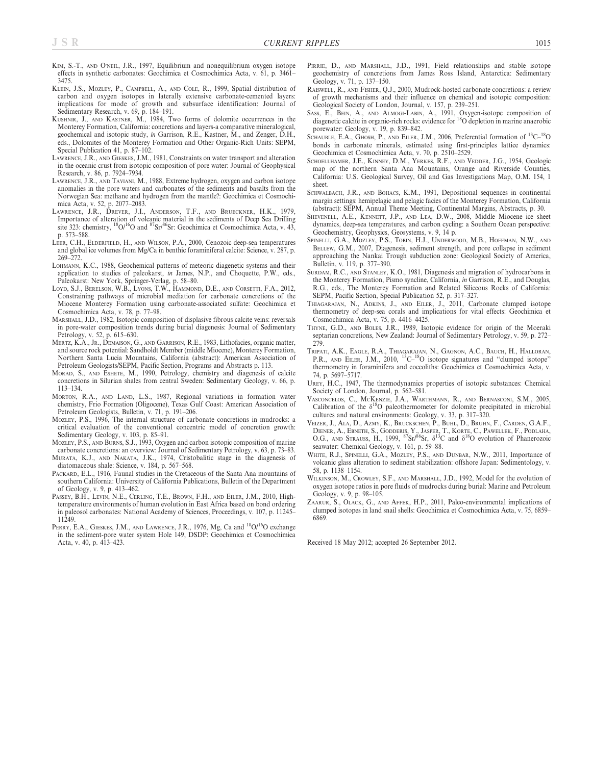- KIM, S.-T., AND O'NEIL, J.R., 1997, Equilibrium and nonequilibrium oxygen isotope effects in synthetic carbonates: Geochimica et Cosmochimica Acta, v. 61, p. 3461– 3475.
- KLEIN, J.S., MOZLEY, P., CAMPBELL, A., AND COLE, R., 1999, Spatial distribution of carbon and oxygen isotopes in laterally extensive carbonate-cemented layers: implications for mode of growth and subsurface identification: Journal of Sedimentary Research, v. 69, p. 184–191.
- KUSHNIR, J., AND KASTNER, M., 1984, Two forms of dolomite occurrences in the Monterey Formation, California: concretions and layers-a comparative mineralogical, geochemical and isotopic study, in Garrison, R.E., Kastner, M., and Zenger, D.H., eds., Dolomites of the Monterey Formation and Other Organic-Rich Units: SEPM, Special Publication 41, p. 87–102.
- LAWRENCE, J.R., AND GIESKES, J.M., 1981, Constraints on water transport and alteration in the oceanic crust from isotopic composition of pore water: Journal of Geophysical Research, v. 86, p. 7924–7934.
- LAWRENCE, J.R., AND TAVIANI, M., 1988, Extreme hydrogen, oxygen and carbon isotope anomalies in the pore waters and carbonates of the sediments and basalts from the Norwegian Sea: methane and hydrogen from the mantle?: Geochimica et Cosmochimica Acta, v. 52, p. 2077–2083.
- LAWRENCE, J.R., DREVER, J.I., ANDERSON, T.F., AND BRUECKNER, H.K., 1979, Importance of alteration of volcanic material in the sediments of Deep Sea Drilling site 323: chemistry,  ${}^{18}O/{}^{16}O$  and  ${}^{87}Sr/{}^{86}Sr$ : Geochimica et Cosmochimica Acta, v. 43, p. 573–588.
- LEER, C.H., ELDERFIELD, H., AND WILSON, P.A., 2000, Cenozoic deep-sea temperatures and global ice volumes from Mg/Ca in benthic foraminiferal calcite: Science, v. 287, p. 269–272.
- LOHMANN, K.C., 1988, Geochemical patterns of meteoric diagenetic systems and their application to studies of paleokarst, in James, N.P., and Choquette, P.W., eds.,
- Paleokarst: New York, Springer-Verlag, p. 58–80. LOYD, S.J., BERELSON, W.B., LYONS, T.W., HAMMOND, D.E., AND CORSETTI, F.A., 2012, Constraining pathways of microbial mediation for carbonate concretions of the Miocene Monterey Formation using carbonate-associated sulfate: Geochimica et Cosmochimica Acta, v. 78, p. 77–98.
- MARSHALL, J.D., 1982, Isotopic composition of displasive fibrous calcite veins: reversals in pore-water composition trends during burial diagenesis: Journal of Sedimentary Petrology, v. 52, p. 615–630.
- MERTZ, K.A., JR., DEMAISON, G., AND GARRISON, R.E., 1983, Lithofacies, organic matter, and source rock potential: Sandholdt Member (middle Miocene), Monterey Formation, Northern Santa Lucia Mountains, California (abstract): American Association of Petroleum Geologists/SEPM, Pacific Section, Programs and Abstracts p. 113.
- MORAD, S., AND ESHETE, M., 1990, Petrology, chemistry and diagenesis of calcite concretions in Silurian shales from central Sweden: Sedimentary Geology, v. 66, p. 113–134.
- MORTON, R.A., AND LAND, L.S., 1987, Regional variations in formation water chemistry, Frio Formation (Oligocene), Texas Gulf Coast: American Association of Petroleum Geologists, Bulletin, v. 71, p. 191–206.
- MOZLEY, P.S., 1996, The internal structure of carbonate concretions in mudrocks: a critical evaluation of the conventional concentric model of concretion growth: Sedimentary Geology, v. 103, p. 85–91.
- MOZLEY, P.S., AND BURNS, S.J., 1993, Oxygen and carbon isotopic composition of marine carbonate concretions: an overview: Journal of Sedimentary Petrology, v. 63, p. 73–83.
- MURATA, K.J., AND NAKATA, J.K., 1974, Cristobalitic stage in the diagenesis of diatomaceous shale: Science, v. 184, p. 567–568.
- PACKARD, E.L., 1916, Faunal studies in the Cretaceous of the Santa Ana mountains of southern California: University of California Publications, Bulletin of the Department of Geology, v. 9, p. 413–462.
- PASSEY, B.H., LEVIN, N.E., CERLING, T.E., BROWN, F.H., AND EILER, J.M., 2010, Hightemperature environments of human evolution in East Africa based on bond ordering in paleosol carbonates: National Academy of Sciences, Proceedings, v. 107, p. 11245– 11249.
- PERRY, E.A., GIESKES, J.M., AND LAWRENCE, J.R., 1976, Mg, Ca and <sup>18</sup>O/<sup>16</sup>O exchange in the sediment-pore water system Hole 149, DSDP: Geochimica et Cosmochimica Acta, v. 40, p. 413–423.
- PIRRIE, D., AND MARSHALL, J.D., 1991, Field relationships and stable isotope geochemistry of concretions from James Ross Island, Antarctica: Sedimentary Geology, v. 71, p. 137–150.
- RAISWELL, R., AND FISHER, Q.J., 2000, Mudrock-hosted carbonate concretions: a review of growth mechanisms and their influence on chemical and isotopic composition: Geological Society of London, Journal, v. 157, p. 239–251.
- SASS, E., BEIN, A., AND ALMOGI-LABIN, A., 1991, Oxygen-isotope composition of diagenetic calcite in organic-rich rocks: evidence for <sup>18</sup>O depletion in marine anaerobic porewater: Geology, v. 19, p. 839–842.
- SCHAUBLE, E.A., GHOSH, P., AND EILER, J.M., 2006, Preferential formation of <sup>13</sup>C<sup>-18</sup>O bonds in carbonate minerals, estimated using first-principles lattice dynamics: Geochimica et Cosmochimica Acta, v. 70, p. 2510–2529.
- SCHOELLHAMER, J.E., KINNEY, D.M., YERKES, R.F., AND VEDDER, J.G., 1954, Geologic map of the northern Santa Ana Mountains, Orange and Riverside Counties, California: U.S. Geological Survey, Oil and Gas Investigations Map, O.M. 154, 1 sheet.
- SCHWALBACH, J.R., AND BOHACS, K.M., 1991, Depositional sequences in continental margin settings: hemipelagic and pelagic facies of the Monterey Formation, California (abstract): SEPM, Annual Theme Meeting, Continental Margins, Abstracts, p. 30.
- SHEVENELL, A.E., KENNETT, J.P., AND LEA, D.W., 2008, Middle Miocene ice sheet dynamics, deep-sea temperatures, and carbon cycling: a Southern Ocean perspective: Geochemistry, Geophysics, Geosystems, v. 9, 14 p.
- SPINELLI, G.A., MOZLEY, P.S., TOBIN, H.J., UNDERWOOD, M.B., HOFFMAN, N.W., AND BELLEW, G.M., 2007, Diagenesis, sediment strength, and pore collapse in sediment approaching the Nankai Trough subduction zone: Geological Society of America, Bulletin, v. 119, p. 377–390.
- SURDAM, R.C., AND STANLEY, K.O., 1981, Diagenesis and migration of hydrocarbons in the Monterey Formation, Pismo syncline, California, in Garrison, R.E., and Douglas, R.G., eds., The Monterey Formation and Related Siliceous Rocks of California: SEPM, Pacific Section, Special Publication 52, p. 317–327.
- THIAGARAJAN, N., ADKINS, J., AND EILER, J., 2011, Carbonate clumped isotope thermometry of deep-sea corals and implications for vital effects: Geochimica et Cosmochimica Acta, v. 75, p. 4416–4425.
- THYNE, G.D., AND BOLES, J.R., 1989, Isotopic evidence for origin of the Moeraki septarian concretions, New Zealand: Journal of Sedimentary Petrology, v. 59, p. 272– 279.
- TRIPATI, A.K., EAGLE, R.A., THIAGARAJAN, N., GAGNON, A.C., BAUCH, H., HALLORAN, P.R., AND EILER, J.M., 2010, <sup>13</sup>C-<sup>18</sup>O isotope signatures and "clumped isotope" thermometry in foraminifera and coccoliths: Geochimica et Cosmochimica Acta, v. 74, p. 5697–5717.
- UREY, H.C., 1947, The thermodynamics properties of isotopic substances: Chemical Society of London, Journal, p. 562–581.
- VASCONCELOS, C., MCKENZIE, J.A., WARTHMANN, R., AND BERNASCONI, S.M., 2005, Calibration of the  $\delta^{18}$ O paleothermometer for dolomite precipitated in microbial cultures and natural environments: Geology, v. 33, p. 317–320.
- VEIZER, J., ALA, D., AZMY, K., BRUCKSCHEN, P., BUHL, D., BRUHN, F., CARDEN, G.A.F., DIENER, A., EBNETH, S., GODDERIS, Y., JASPER, T., KORTE, C., PAWELLEK, F., PODLAHA,<br>O.G., AND Strauss, H., 1999, <sup>87</sup>Sr/<sup>86</sup>Sr, δ<sup>13</sup>C and δ<sup>18</sup>O evolution of Phanerozoic seawater: Chemical Geology, v. 161, p. 59–88.
- WHITE, R.J., SPINELLI, G.A., MOZLEY, P.S., AND DUNBAR, N.W., 2011, Importance of volcanic glass alteration to sediment stabilization: offshore Japan: Sedimentology, v. 58, p. 1138–1154.
- WILKINSON, M., CROWLEY, S.F., AND MARSHALL, J.D., 1992, Model for the evolution of oxygen isotope ratios in pore fluids of mudrocks during burial: Marine and Petroleum Geology, v. 9, p. 98–105.
- ZAARUR, S., OLACK, G., AND AFFEK, H.P., 2011, Paleo-environmental implications of clumped isotopes in land snail shells: Geochimica et Cosmochimica Acta, v. 75, 6859– 6869.

Received 18 May 2012; accepted 26 September 2012.